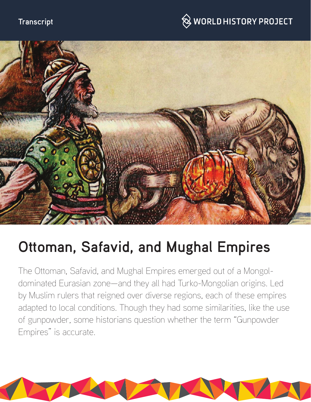### **Transcript**

## $\hspace{0.1cm}\raisebox{0.6ex}{\text{\circle*{1.5}}}\otimes$  WORLD HISTORY PROJECT



# **Ottoman, Safavid, and Mughal Empires**

The Ottoman, Safavid, and Mughal Empires emerged out of a Mongoldominated Eurasian zone—and they all had Turko-Mongolian origins. Led by Muslim rulers that reigned over diverse regions, each of these empires adapted to local conditions. Though they had some similarities, like the use of gunpowder, some historians question whether the term "Gunpowder Empires" is accurate.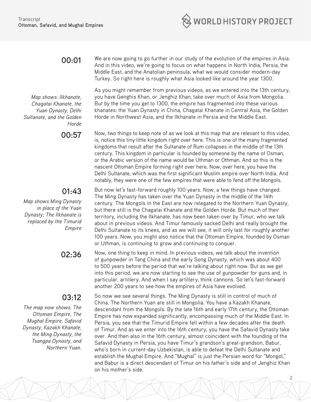

#### **00:01**

*Map shows: Ilkhanate, Chagatai Khanate, the Yuan Dynasty, Delhi Sultanate, and the Golden Horde*

#### **01:43**

*Map shows Ming Dynasty in place of the Yuan Dynasty; The Ilkhanate is replaced by the Timurid Empire*

#### **03:12**

*The map now shows: The Ottoman Empire, The Mughal Empire, Safavid Dynasty, Kazakh Khanate, the Ming Dynasty, the Tsangpa Dynasty, and Northern Yuan.*

We are now going to go further in our study of the evolution of the empires in Asia. And in this video, we're going to focus on what happens in North India, Persia, the Middle East, and the Anatolian peninsula, what we would consider modern-day Turkey. So right here is roughly what Asia looked like around the year 1300.

As you might remember from previous videos, as we entered into the 13th century, you have Genghis Khan, or Jenghiz Khan, take over much of Asia from Mongolia. But by the time you get to 1300, the empire has fragmented into these various khanates: the Yuan Dynasty in China, Chagatai Khanate in Central Asia, the Golden Horde in Northwest Asia, and the Ilkhanate in Persia and the Middle East.

**00:57** Now, two things to keep note of as we look at this map that are relevant to this video, is, notice this tiny little kingdom right over here. This is one of the many fragmented kingdoms that result after the Sultanate of Rum collapses in the middle of the 13th century. This kingdom in particular is founded by someone by the name of Osman, or the Arabic version of the name would be Uthman or Othman. And so this is the nascent Ottoman Empire forming right over here. Now, over here, you have the Delhi Sultanate, which was the first significant Muslim empire over North India. And notably, they were one of the few empires that were able to fend off the Mongols.

> But now let's fast-forward roughly 100 years. Now, a few things have changed. The Ming Dynasty has taken over the Yuan Dynasty in the middle of the 14th century. The Mongols in the East are now relegated to the Northern Yuan Dynasty, but there still is the Chagatai Khanate and the Golden Horde. But much of their territory, including the Ilkhanate, has now been taken over by Timur, who we talk about in previous videos. And Timur famously sacked Delhi and really brought the Delhi Sultanate to its knees, and as we will see, it will only last for roughly another 100 years. Now, you might also notice that the Ottoman Empire, founded by Osman or Uthman, is continuing to grow and continuing to conquer.

**02:36** Now, one thing to keep in mind. In previous videos, we talk about the invention of gunpowder in Tang China and the early Song Dynasty, which was about 400 to 500 years before the period that we're talking about right now. But as we get into this period, we are now starting to see the use of gunpowder for guns and, in particular, artillery. And when I say artillery, think cannons. So let's fast-forward another 200 years to see how the empires of Asia have evolved.

> So now we see several things. The Ming Dynasty is still in control of much of China. The Northern Yuan are still in Mongolia. You have a Kazakh Khanate, descendant from the Mongols. By the late 16th and early 17th century, the Ottoman Empire has now expanded significantly, encompassing much of the Middle East. In Persia, you see that the Timurid Empire fell within a few decades after the death of Timur. And as we enter into the 16th century, you have the Safavid Dynasty take over. And then also in the 16th century, almost coincident with the founding of the Safavid Dynasty in Persia, you have Timur's grandson's great-grandson, Babur, who's born in current-day Uzbekistan, is able to defeat the Delhi Sultanate and establish the Mughal Empire. And "Mughal" is just the Persian word for "Mongol," and Babur is a direct descendant of Timur on his father's side and of Jenghiz Khan on his mother's side.

> > 2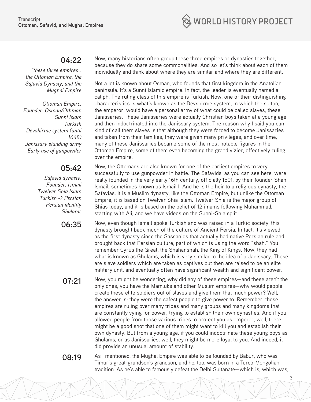

#### **04:22**

*"these three empires": the Ottoman Empire, the Safavid Dynasty, and the Mughal Empire*

*Ottoman Empire: Founder: Osman/Othman Sunni Islam Turkish Devshirme system (until 1648) Janissary standing army Early use of gunpowder*

### **05:42**

*Safavid dynasty: Founder: Ismail Twelver Shia Islam Turkish -> Persian Persian identity Ghulams*

Now, many historians often group these three empires or dynasties together, because they do share some commonalities. And so let's think about each of them individually and think about where they are similar and where they are different.

Not a lot is known about Osman, who founds that first kingdom in the Anatolian peninsula. It's a Sunni Islamic empire. In fact, the leader is eventually named a caliph. The ruling class of this empire is Turkish. Now, one of their distinguishing characteristics is what's known as the Devshirme system, in which the sultan, the emperor, would have a personal army of what could be called slaves, these Janissaries. These Janissaries were actually Christian boys taken at a young age and then indoctrinated into the Janissary system. The reason why I said you can kind of call them slaves is that although they were forced to become Janissaries and taken from their families, they were given many privileges, and over time, many of these Janissaries became some of the most notable figures in the Ottoman Empire, some of them even becoming the grand vizier, effectively ruling over the empire.

Now, the Ottomans are also known for one of the earliest empires to very successfully to use gunpowder in battle. The Safavids, as you can see here, were really founded in the very early 16th century, officially 1501, by their founder Shah Ismail, sometimes known as Ismail I. And he is the heir to a religious dynasty, the Safavias. It is a Muslim dynasty, like the Ottoman Empire, but unlike the Ottoman Empire, it is based on Twelver Shia Islam. Twelver Shia is the major group of Shias today, and it is based on the belief of 12 imams following Muhammad, starting with Ali, and we have videos on the Sunni-Shia split.

06:35 Now, even though Ismail spoke Turkish and was raised in a Turkic society, this dynasty brought back much of the culture of Ancient Persia. In fact, it's viewed as the first dynasty since the Sassanids that actually had native Persian rule and brought back that Persian culture, part of which is using the word "shah." You remember Cyrus the Great, the Shahanshah, the King of Kings. Now, they had what is known as Ghulams, which is very similar to the idea of a Janissary. These are slave soldiers which are taken as captives but then are raised to be an elite military unit, and eventually often have significant wealth and significant power.

**07:21** Now, you might be wondering, why did any of these empires—and these aren't the only ones, you have the Mamluks and other Muslim empires—why would people create these elite soldiers out of slaves and give them that much power? Well, the answer is: they were the safest people to give power to. Remember, these empires are ruling over many tribes and many groups and many kingdoms that are constantly vying for power, trying to establish their own dynasties. And if you allowed people from those various tribes to protect you as emperor, well, there might be a good shot that one of them might want to kill you and establish their own dynasty. But from a young age, if you could indoctrinate these young boys as Ghulams, or as Janissaries, well, they might be more loyal to you. And indeed, it did provide an unusual amount of stability.

**08:19** As I mentioned, the Mughal Empire was able to be founded by Babur, who was Timur's great-grandson's grandson, and he, too, was born in a Turco-Mongolian tradition. As he's able to famously defeat the Delhi Sultanate—which is, which was,